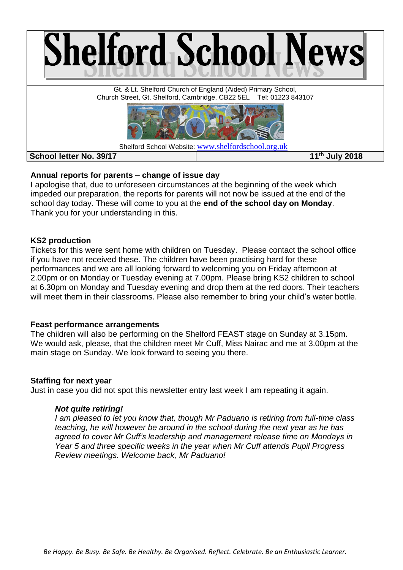

# **Annual reports for parents – change of issue day**

I apologise that, due to unforeseen circumstances at the beginning of the week which impeded our preparation, the reports for parents will not now be issued at the end of the school day today. These will come to you at the **end of the school day on Monday**. Thank you for your understanding in this.

#### **KS2 production**

Tickets for this were sent home with children on Tuesday. Please contact the school office if you have not received these. The children have been practising hard for these performances and we are all looking forward to welcoming you on Friday afternoon at 2.00pm or on Monday or Tuesday evening at 7.00pm. Please bring KS2 children to school at 6.30pm on Monday and Tuesday evening and drop them at the red doors. Their teachers will meet them in their classrooms. Please also remember to bring your child's water bottle.

### **Feast performance arrangements**

The children will also be performing on the Shelford FEAST stage on Sunday at 3.15pm. We would ask, please, that the children meet Mr Cuff, Miss Nairac and me at 3.00pm at the main stage on Sunday. We look forward to seeing you there.

### **Staffing for next year**

Just in case you did not spot this newsletter entry last week I am repeating it again.

### *Not quite retiring!*

*I am pleased to let you know that, though Mr Paduano is retiring from full-time class teaching, he will however be around in the school during the next year as he has agreed to cover Mr Cuff's leadership and management release time on Mondays in Year 5 and three specific weeks in the year when Mr Cuff attends Pupil Progress Review meetings. Welcome back, Mr Paduano!*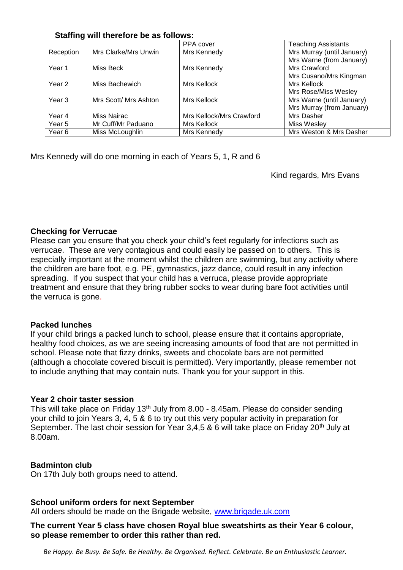### **Staffing will therefore be as follows:**

| ----      |                       | PPA cover                | <b>Teaching Assistants</b> |
|-----------|-----------------------|--------------------------|----------------------------|
|           |                       |                          |                            |
| Reception | Mrs Clarke/Mrs Unwin  | Mrs Kennedy              | Mrs Murray (until January) |
|           |                       |                          | Mrs Warne (from January)   |
| Year 1    | Miss Beck             | Mrs Kennedy              | Mrs Crawford               |
|           |                       |                          | Mrs Cusano/Mrs Kingman     |
| Year 2    | Miss Bachewich        | Mrs Kellock              | Mrs Kellock                |
|           |                       |                          | Mrs Rose/Miss Wesley       |
| Year 3    | Mrs Scott/ Mrs Ashton | Mrs Kellock              | Mrs Warne (until January)  |
|           |                       |                          | Mrs Murray (from January)  |
| Year 4    | Miss Nairac           | Mrs Kellock/Mrs Crawford | Mrs Dasher                 |
| Year 5    | Mr Cuff/Mr Paduano    | Mrs Kellock              | Miss Wesley                |
| Year 6    | Miss McLoughlin       | Mrs Kennedy              | Mrs Weston & Mrs Dasher    |

Mrs Kennedy will do one morning in each of Years 5, 1, R and 6

Kind regards, Mrs Evans

### **Checking for Verrucae**

Please can you ensure that you check your child's feet regularly for infections such as verrucae. These are very contagious and could easily be passed on to others. This is especially important at the moment whilst the children are swimming, but any activity where the children are bare foot, e.g. PE, gymnastics, jazz dance, could result in any infection spreading. If you suspect that your child has a verruca, please provide appropriate treatment and ensure that they bring rubber socks to wear during bare foot activities until the verruca is gone.

### **Packed lunches**

If your child brings a packed lunch to school, please ensure that it contains appropriate, healthy food choices, as we are seeing increasing amounts of food that are not permitted in school. Please note that fizzy drinks, sweets and chocolate bars are not permitted (although a chocolate covered biscuit is permitted). Very importantly, please remember not to include anything that may contain nuts. Thank you for your support in this.

### **Year 2 choir taster session**

This will take place on Friday 13<sup>th</sup> July from 8.00 - 8.45am. Please do consider sending your child to join Years 3, 4, 5 & 6 to try out this very popular activity in preparation for September. The last choir session for Year 3,4,5 & 6 will take place on Friday 20<sup>th</sup> July at 8.00am.

### **Badminton club**

On 17th July both groups need to attend.

#### **School uniform orders for next September**

All orders should be made on the Brigade website, [www.brigade.uk.com](http://www.brigade.uk.com/)

### **The current Year 5 class have chosen Royal blue sweatshirts as their Year 6 colour, so please remember to order this rather than red.**

*Be Happy. Be Busy. Be Safe. Be Healthy. Be Organised. Reflect. Celebrate. Be an Enthusiastic Learner.*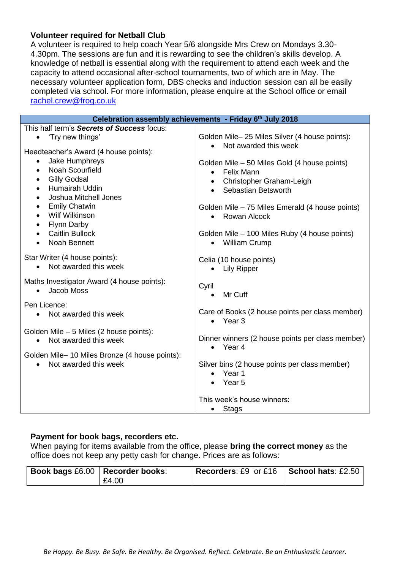### **Volunteer required for Netball Club**

A volunteer is required to help coach Year 5/6 alongside Mrs Crew on Mondays 3.30- 4.30pm. The sessions are fun and it is rewarding to see the children's skills develop. A knowledge of netball is essential along with the requirement to attend each week and the capacity to attend occasional after-school tournaments, two of which are in May. The necessary volunteer application form, DBS checks and induction session can all be easily completed via school. For more information, please enquire at the School office or email [rachel.crew@frog.co.uk](mailto:rachel.crew@frog.co.uk)

| Celebration assembly achievements - Friday 6th July 2018                                                                                                             |                                                                                                                                       |  |  |  |  |
|----------------------------------------------------------------------------------------------------------------------------------------------------------------------|---------------------------------------------------------------------------------------------------------------------------------------|--|--|--|--|
| This half term's Secrets of Success focus:<br>'Try new things'<br>$\bullet$<br>Headteacher's Award (4 house points):                                                 | Golden Mile-25 Miles Silver (4 house points):<br>Not awarded this week                                                                |  |  |  |  |
| Jake Humphreys<br>$\bullet$<br>Noah Scourfield<br>$\bullet$<br><b>Gilly Godsal</b><br>$\bullet$<br>Humairah Uddin<br>$\bullet$<br>Joshua Mitchell Jones<br>$\bullet$ | Golden Mile - 50 Miles Gold (4 house points)<br><b>Felix Mann</b><br>$\bullet$<br>• Christopher Graham-Leigh<br>• Sebastian Betsworth |  |  |  |  |
| <b>Emily Chatwin</b><br>$\bullet$<br><b>Wilf Wilkinson</b><br>$\bullet$<br><b>Flynn Darby</b><br>$\bullet$                                                           | Golden Mile – 75 Miles Emerald (4 house points)<br>• Rowan Alcock                                                                     |  |  |  |  |
| <b>Caitlin Bullock</b><br>$\bullet$<br><b>Noah Bennett</b>                                                                                                           | Golden Mile - 100 Miles Ruby (4 house points)<br><b>William Crump</b><br>$\bullet$                                                    |  |  |  |  |
| Star Writer (4 house points):<br>Not awarded this week<br>$\bullet$                                                                                                  | Celia (10 house points)<br><b>Lily Ripper</b>                                                                                         |  |  |  |  |
| Maths Investigator Award (4 house points):<br>Jacob Moss<br>$\bullet$                                                                                                | Cyril<br>Mr Cuff                                                                                                                      |  |  |  |  |
| Pen Licence:<br>Not awarded this week<br>$\bullet$                                                                                                                   | Care of Books (2 house points per class member)<br>$\bullet$ Year 3                                                                   |  |  |  |  |
| Golden Mile - 5 Miles (2 house points):<br>Not awarded this week<br>$\bullet$                                                                                        | Dinner winners (2 house points per class member)<br>Year 4<br>$\bullet$                                                               |  |  |  |  |
| Golden Mile-10 Miles Bronze (4 house points):<br>Not awarded this week<br>$\bullet$                                                                                  | Silver bins (2 house points per class member)<br>Year 1<br>$\bullet$<br>Year 5                                                        |  |  |  |  |
|                                                                                                                                                                      | This week's house winners:<br><b>Stags</b><br>$\bullet$                                                                               |  |  |  |  |

# **Payment for book bags, recorders etc.**

When paying for items available from the office, please **bring the correct money** as the office does not keep any petty cash for change. Prices are as follows:

| Book bags £6.00   Recorder books: |       | Recorders: £9 or £16 School hats: £2.50 |  |
|-----------------------------------|-------|-----------------------------------------|--|
|                                   | E4.00 |                                         |  |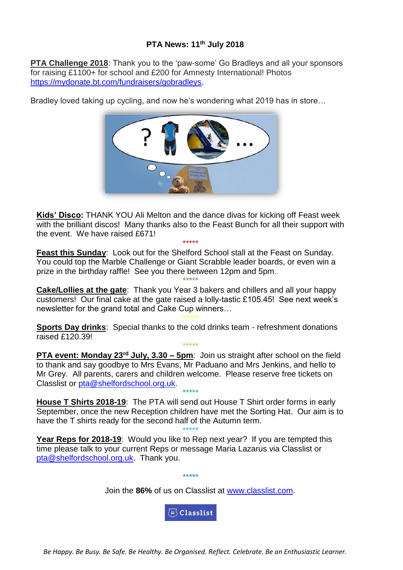# **PTA News: 11th July 2018**

**PTA Challenge 2018**: Thank you to the 'paw-some' Go Bradleys and all your sponsors for raising £1100+ for school and £200 for Amnesty International! Photos [https://mydonate.bt.com/fundraisers/gobradleys.](https://mydonate.bt.com/fundraisers/gobradleys)

Bradley loved taking up cycling, and now he's wondering what 2019 has in store…



**Kids' Disco:** THANK YOU Ali Melton and the dance divas for kicking off Feast week with the brilliant discos! Many thanks also to the Feast Bunch for all their support with the event. We have raised £671! \*\*\*\*\*

**Feast this Sunday**: Look out for the Shelford School stall at the Feast on Sunday. You could top the Marble Challenge or Giant Scrabble leader boards, or even win a prize in the birthday raffle! See you there between 12pm and 5pm.

\*\*\*\*\* **Cake/Lollies at the gate**: Thank you Year 3 bakers and chillers and all your happy customers! Our final cake at the gate raised a lolly-tastic £105.45! See next week's newsletter for the grand total and Cake Cup winners…

\*\*\*\*\* **Sports Day drinks**: Special thanks to the cold drinks team - refreshment donations raised £120.39!

\*\*\*\*\* **PTA event: Monday 23rd July, 3.30 – 5pm**: Join us straight after school on the field to thank and say goodbye to Mrs Evans, Mr Paduano and Mrs Jenkins, and hello to Mr Grey. All parents, carers and children welcome. Please reserve free tickets on Classlist or [pta@shelfordschool.org.uk.](mailto:pta@shelfordschool.org.uk)

**House T Shirts 2018-19**: The PTA will send out House T Shirt order forms in early September, once the new Reception children have met the Sorting Hat. Our aim is to have the T shirts ready for the second half of the Autumn term.

\*\*\*\*\*

\*\*\*\*\* **Year Reps for 2018-19:** Would you like to Rep next year? If you are tempted this time please talk to your current Reps or message Maria Lazarus via Classlist or [pta@shelfordschool.org.uk.](mailto:pta@shelfordschool.org.uk) Thank you.

Join the **86%** of us on Classlist at [www.classlist.com.](http://www.classlist.com/)

 $\widetilde{\mathbb{G}}$  Classlist

\*\*\*\*\*